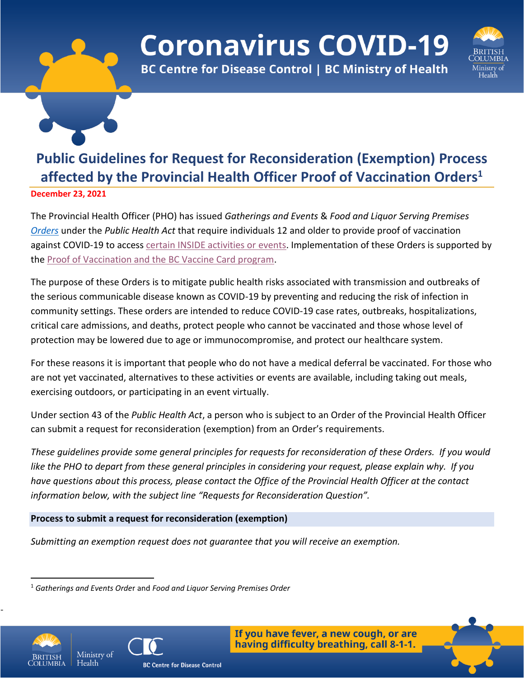# **Coronavirus COVID-19**



**BC Centre for Disease Control | BC Ministry of Health** 

## **Public Guidelines for Request for Reconsideration (Exemption) Process affected by the Provincial Health Officer Proof of Vaccination Orders<sup>1</sup>**

**December 23, 2021**

The Provincial Health Officer (PHO) has issued *Gatherings and Events* & *Food and Liquor Serving Premises [Orders](https://www2.gov.bc.ca/gov/content/health/about-bc-s-health-care-system/office-of-the-provincial-health-officer/current-health-topics/covid-19-novel-coronavirus)* under the *Public Health Act* that require individuals 12 and older to provide proof of vaccination against COVID-19 to access [certain INSIDE activities or events.](https://www2.gov.bc.ca/vaccinecard.html#required) Implementation of these Orders is supported by the [Proof of Vaccination and the BC Vaccine Card program.](https://www2.gov.bc.ca/vaccinecard.html)

The purpose of these Orders is to mitigate public health risks associated with transmission and outbreaks of the serious communicable disease known as COVID-19 by preventing and reducing the risk of infection in community settings. These orders are intended to reduce COVID-19 case rates, outbreaks, hospitalizations, critical care admissions, and deaths, protect people who cannot be vaccinated and those whose level of protection may be lowered due to age or immunocompromise, and protect our healthcare system.

For these reasons it is important that people who do not have a medical deferral be vaccinated. For those who are not yet vaccinated, alternatives to these activities or events are available, including taking out meals, exercising outdoors, or participating in an event virtually.

Under section 43 of the *Public Health Act*, a person who is subject to an Order of the Provincial Health Officer can submit a request for reconsideration (exemption) from an Order's requirements.

*These guidelines provide some general principles for requests for reconsideration of these Orders. If you would like the PHO to depart from these general principles in considering your request, please explain why. If you have questions about this process, please contact the Office of the Provincial Health Officer at the contact information below, with the subject line "Requests for Reconsideration Question".*

**Process to submit a request for reconsideration (exemption)**

*Submitting an exemption request does not guarantee that you will receive an exemption.*



-





<sup>1</sup> *Gatherings and Events Orde*r and *Food and Liquor Serving Premises Order*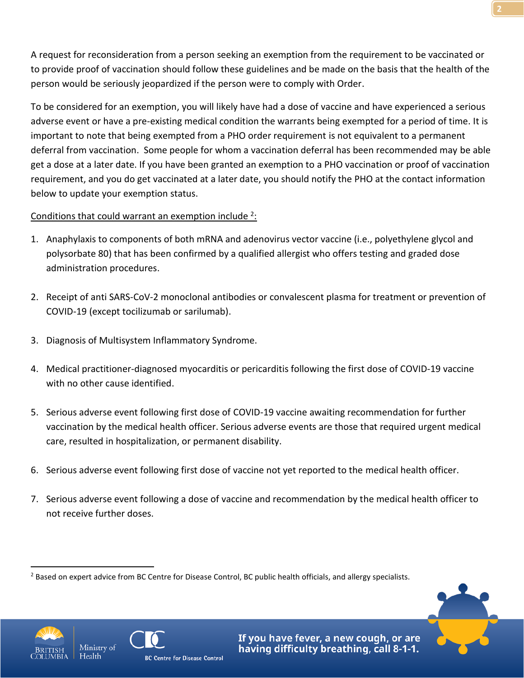A request for reconsideration from a person seeking an exemption from the requirement to be vaccinated or to provide proof of vaccination should follow these guidelines and be made on the basis that the health of the person would be seriously jeopardized if the person were to comply with Order.

To be considered for an exemption, you will likely have had a dose of vaccine and have experienced a serious adverse event or have a pre-existing medical condition the warrants being exempted for a period of time. It is important to note that being exempted from a PHO order requirement is not equivalent to a permanent deferral from vaccination. Some people for whom a vaccination deferral has been recommended may be able get a dose at a later date. If you have been granted an exemption to a PHO vaccination or proof of vaccination requirement, and you do get vaccinated at a later date, you should notify the PHO at the contact information below to update your exemption status.

#### Conditions that could warrant an exemption include <sup>2</sup>:

- 1. Anaphylaxis to components of both mRNA and adenovirus vector vaccine (i.e., polyethylene glycol and polysorbate 80) that has been confirmed by a qualified allergist who offers testing and graded dose administration procedures.
- 2. Receipt of anti SARS-CoV-2 monoclonal antibodies or convalescent plasma for treatment or prevention of COVID-19 (except tocilizumab or sarilumab).
- 3. Diagnosis of Multisystem Inflammatory Syndrome.
- 4. Medical practitioner-diagnosed myocarditis or pericarditis following the first dose of COVID-19 vaccine with no other cause identified.
- 5. Serious adverse event following first dose of COVID-19 vaccine awaiting recommendation for further vaccination by the medical health officer. Serious adverse events are those that required urgent medical care, resulted in hospitalization, or permanent disability.
- 6. Serious adverse event following first dose of vaccine not yet reported to the medical health officer.
- 7. Serious adverse event following a dose of vaccine and recommendation by the medical health officer to not receive further doses.







<sup>&</sup>lt;sup>2</sup> Based on expert advice from BC Centre for Disease Control, BC public health officials, and allergy specialists.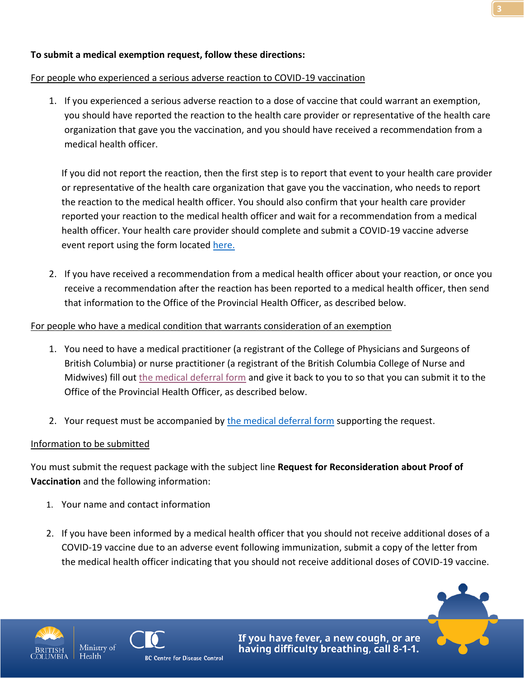#### For people who experienced a serious adverse reaction to COVID-19 vaccination

1. If you experienced a serious adverse reaction to a dose of vaccine that could warrant an exemption, you should have reported the reaction to the health care provider or representative of the health care organization that gave you the vaccination, and you should have received a recommendation from a medical health officer.

If you did not report the reaction, then the first step is to report that event to your health care provider or representative of the health care organization that gave you the vaccination, who needs to report the reaction to the medical health officer. You should also confirm that your health care provider reported your reaction to the medical health officer and wait for a recommendation from a medical health officer. Your health care provider should complete and submit a COVID-19 vaccine adverse event report using the form located [here.](http://www.bccdc.ca/resource-gallery/Documents/Guidelines%20and%20Forms/Forms/Immunization/Vaccine%20Info/AEFI-case-report-form-COVID-19.docx)

2. If you have received a recommendation from a medical health officer about your reaction, or once you receive a recommendation after the reaction has been reported to a medical health officer, then send that information to the Office of the Provincial Health Officer, as described below.

#### For people who have a medical condition that warrants consideration of an exemption

- 1. You need to have a medical practitioner (a registrant of the College of Physicians and Surgeons of British Columbia) or nurse practitioner (a registrant of the British Columbia College of Nurse and Midwives) fill out [the medical deferral form](https://www2.gov.bc.ca/assets/gov/health/forms/2371fil.pdf) and give it back to you to so that you can submit it to the Office of the Provincial Health Officer, as described below.
- 2. Your request must be accompanied by [the medical deferral form](https://www2.gov.bc.ca/assets/gov/health/forms/2371fil.pdf) supporting the request.

### Information to be submitted

You must submit the request package with the subject line **Request for Reconsideration about Proof of Vaccination** and the following information:

- 1. Your name and contact information
- 2. If you have been informed by a medical health officer that you should not receive additional doses of a COVID-19 vaccine due to an adverse event following immunization, submit a copy of the letter from the medical health officer indicating that you should not receive additional doses of COVID-19 vaccine.